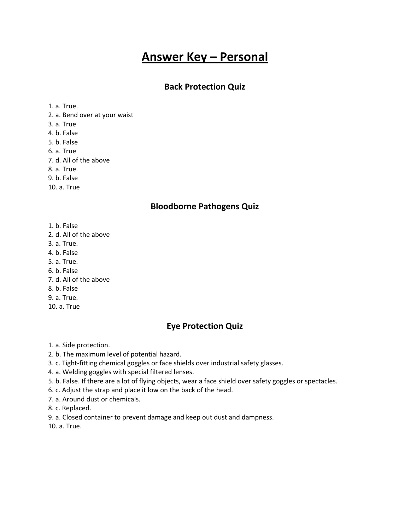# **Answer Key – Personal**

#### **Back Protection Quiz**

1. a. True.

- 2. a. Bend over at your waist
- 3. a. True
- 4. b. False
- 5. b. False
- 6. a. True
- 7. d. All of the above
- 8. a. True.
- 9. b. False
- 10. a. True

#### **Bloodborne Pathogens Quiz**

- 1. b. False
- 2. d. All of the above
- 3. a. True.
- 4. b. False
- 5. a. True.
- 6. b. False
- 7. d. All of the above
- 8. b. False
- 9. a. True.
- 10. a. True

#### **Eye Protection Quiz**

1. a. Side protection.

- 2. b. The maximum level of potential hazard.
- 3. c. Tight-fitting chemical goggles or face shields over industrial safety glasses.
- 4. a. Welding goggles with special filtered lenses.
- 5. b. False. If there are a lot of flying objects, wear a face shield over safety goggles or spectacles.
- 6. c. Adjust the strap and place it low on the back of the head.
- 7. a. Around dust or chemicals.
- 8. c. Replaced.
- 9. a. Closed container to prevent damage and keep out dust and dampness.
- 10. a. True.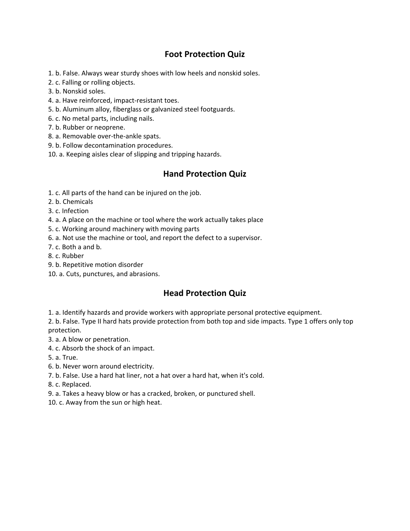## **Foot Protection Quiz**

1. b. False. Always wear sturdy shoes with low heels and nonskid soles.

- 2. c. Falling or rolling objects.
- 3. b. Nonskid soles.
- 4. a. Have reinforced, impact-resistant toes.
- 5. b. Aluminum alloy, fiberglass or galvanized steel footguards.
- 6. c. No metal parts, including nails.
- 7. b. Rubber or neoprene.
- 8. a. Removable over-the-ankle spats.
- 9. b. Follow decontamination procedures.
- 10. a. Keeping aisles clear of slipping and tripping hazards.

#### **Hand Protection Quiz**

- 1. c. All parts of the hand can be injured on the job.
- 2. b. Chemicals
- 3. c. Infection
- 4. a. A place on the machine or tool where the work actually takes place
- 5. c. Working around machinery with moving parts
- 6. a. Not use the machine or tool, and report the defect to a supervisor.
- 7. c. Both a and b.
- 8. c. Rubber
- 9. b. Repetitive motion disorder
- 10. a. Cuts, punctures, and abrasions.

### **Head Protection Quiz**

1. a. Identify hazards and provide workers with appropriate personal protective equipment.

2. b. False. Type II hard hats provide protection from both top and side impacts. Type 1 offers only top protection.

- 3. a. A blow or penetration.
- 4. c. Absorb the shock of an impact.
- 5. a. True.
- 6. b. Never worn around electricity.
- 7. b. False. Use a hard hat liner, not a hat over a hard hat, when it's cold.

8. c. Replaced.

- 9. a. Takes a heavy blow or has a cracked, broken, or punctured shell.
- 10. c. Away from the sun or high heat.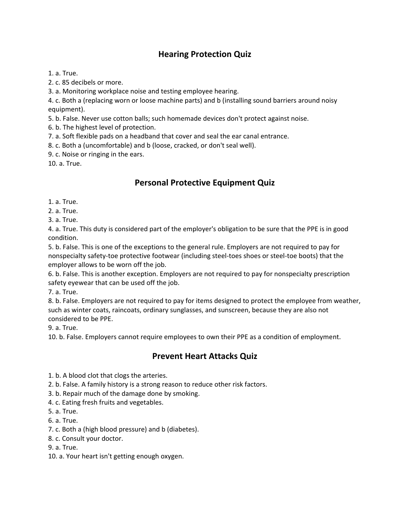# **Hearing Protection Quiz**

1. a. True.

2. c. 85 decibels or more.

3. a. Monitoring workplace noise and testing employee hearing.

4. c. Both a (replacing worn or loose machine parts) and b (installing sound barriers around noisy equipment).

5. b. False. Never use cotton balls; such homemade devices don't protect against noise.

6. b. The highest level of protection.

7. a. Soft flexible pads on a headband that cover and seal the ear canal entrance.

8. c. Both a (uncomfortable) and b (loose, cracked, or don't seal well).

9. c. Noise or ringing in the ears.

10. a. True.

# **Personal Protective Equipment Quiz**

1. a. True.

2. a. True.

3. a. True.

4. a. True. This duty is considered part of the employer's obligation to be sure that the PPE is in good condition.

5. b. False. This is one of the exceptions to the general rule. Employers are not required to pay for nonspecialty safety-toe protective footwear (including steel-toes shoes or steel-toe boots) that the employer allows to be worn off the job.

6. b. False. This is another exception. Employers are not required to pay for nonspecialty prescription safety eyewear that can be used off the job.

7. a. True.

8. b. False. Employers are not required to pay for items designed to protect the employee from weather, such as winter coats, raincoats, ordinary sunglasses, and sunscreen, because they are also not considered to be PPE.

9. a. True.

10. b. False. Employers cannot require employees to own their PPE as a condition of employment.

### **Prevent Heart Attacks Quiz**

1. b. A blood clot that clogs the arteries.

2. b. False. A family history is a strong reason to reduce other risk factors.

3. b. Repair much of the damage done by smoking.

4. c. Eating fresh fruits and vegetables.

5. a. True.

6. a. True.

7. c. Both a (high blood pressure) and b (diabetes).

8. c. Consult your doctor.

9. a. True.

10. a. Your heart isn't getting enough oxygen.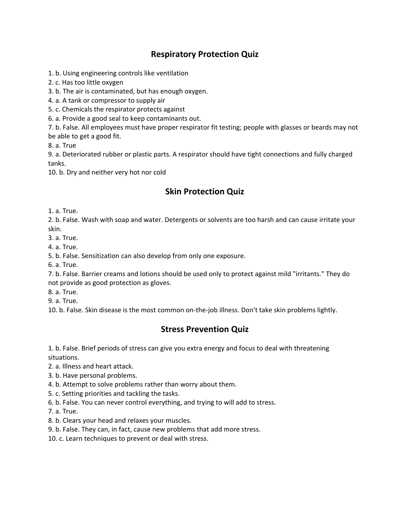# **Respiratory Protection Quiz**

1. b. Using engineering controls like ventilation

2. c. Has too little oxygen

3. b. The air is contaminated, but has enough oxygen.

4. a. A tank or compressor to supply air

5. c. Chemicals the respirator protects against

6. a. Provide a good seal to keep contaminants out.

7. b. False. All employees must have proper respirator fit testing; people with glasses or beards may not be able to get a good fit.

8. a. True

9. a. Deteriorated rubber or plastic parts. A respirator should have tight connections and fully charged tanks.

10. b. Dry and neither very hot nor cold

## **Skin Protection Quiz**

1. a. True.

2. b. False. Wash with soap and water. Detergents or solvents are too harsh and can cause irritate your skin.

3. a. True.

4. a. True.

5. b. False. Sensitization can also develop from only one exposure.

6. a. True.

7. b. False. Barrier creams and lotions should be used only to protect against mild "irritants." They do not provide as good protection as gloves.

8. a. True.

9. a. True.

10. b. False. Skin disease is the most common on-the-job illness. Don't take skin problems lightly.

### **Stress Prevention Quiz**

1. b. False. Brief periods of stress can give you extra energy and focus to deal with threatening situations.

2. a. Illness and heart attack.

- 3. b. Have personal problems.
- 4. b. Attempt to solve problems rather than worry about them.
- 5. c. Setting priorities and tackling the tasks.
- 6. b. False. You can never control everything, and trying to will add to stress.
- 7. a. True.
- 8. b. Clears your head and relaxes your muscles.
- 9. b. False. They can, in fact, cause new problems that add more stress.
- 10. c. Learn techniques to prevent or deal with stress.